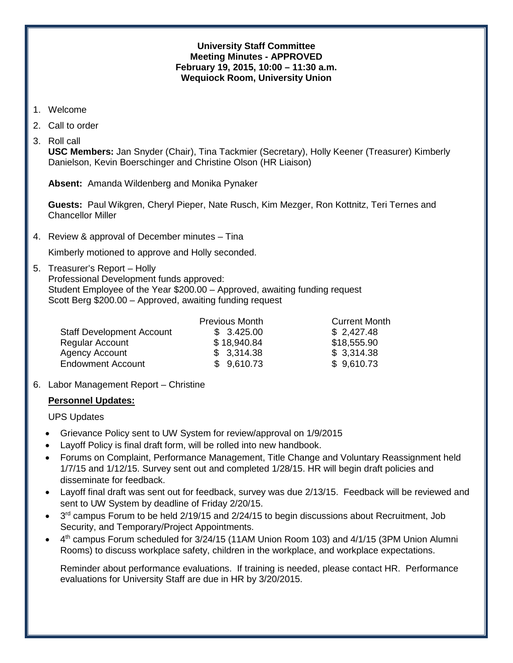### **University Staff Committee Meeting Minutes - APPROVED February 19, 2015, 10:00 – 11:30 a.m. Wequiock Room, University Union**

- 1. Welcome
- 2. Call to order
- 3. Roll call

**USC Members:** Jan Snyder (Chair), Tina Tackmier (Secretary), Holly Keener (Treasurer) Kimberly Danielson, Kevin Boerschinger and Christine Olson (HR Liaison)

**Absent:** Amanda Wildenberg and Monika Pynaker

 **Guests:** Paul Wikgren, Cheryl Pieper, Nate Rusch, Kim Mezger, Ron Kottnitz, Teri Ternes and Chancellor Miller

4. Review & approval of December minutes – Tina

Kimberly motioned to approve and Holly seconded.

5. Treasurer's Report – Holly Professional Development funds approved: Student Employee of the Year \$200.00 – Approved, awaiting funding request Scott Berg \$200.00 – Approved, awaiting funding request

|                                  | <b>Previous Month</b> | <b>Current Month</b> |
|----------------------------------|-----------------------|----------------------|
| <b>Staff Development Account</b> | \$3.425.00            | \$2,427.48           |
| <b>Regular Account</b>           | \$18,940.84           | \$18,555.90          |
| <b>Agency Account</b>            | \$3,314.38            | \$3,314.38           |
| <b>Endowment Account</b>         | \$9,610.73            | \$9,610.73           |

6. Labor Management Report – Christine

### **Personnel Updates:**

UPS Updates

- Grievance Policy sent to UW System for review/approval on 1/9/2015
- Layoff Policy is final draft form, will be rolled into new handbook.
- Forums on Complaint, Performance Management, Title Change and Voluntary Reassignment held 1/7/15 and 1/12/15. Survey sent out and completed 1/28/15. HR will begin draft policies and disseminate for feedback.
- Layoff final draft was sent out for feedback, survey was due 2/13/15. Feedback will be reviewed and sent to UW System by deadline of Friday 2/20/15.
- 3<sup>rd</sup> campus Forum to be held 2/19/15 and 2/24/15 to begin discussions about Recruitment, Job Security, and Temporary/Project Appointments.
- 4<sup>th</sup> campus Forum scheduled for 3/24/15 (11AM Union Room 103) and 4/1/15 (3PM Union Alumni Rooms) to discuss workplace safety, children in the workplace, and workplace expectations.

Reminder about performance evaluations. If training is needed, please contact HR. Performance evaluations for University Staff are due in HR by 3/20/2015.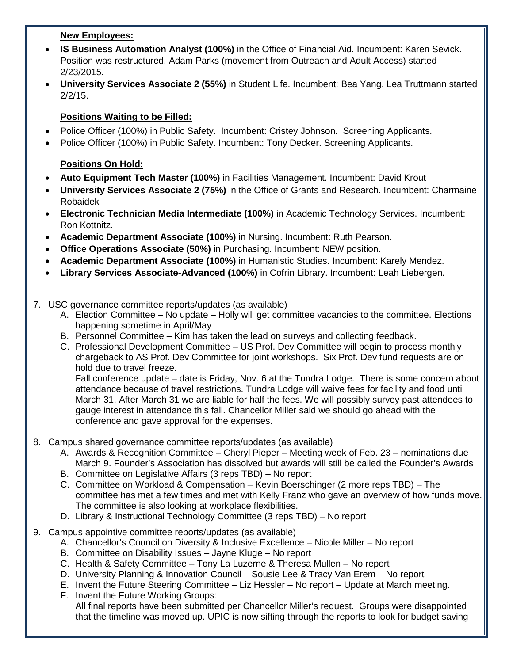### **New Employees:**

- **IS Business Automation Analyst (100%)** in the Office of Financial Aid. Incumbent: Karen Sevick. Position was restructured. Adam Parks (movement from Outreach and Adult Access) started 2/23/2015.
- **University Services Associate 2 (55%)** in Student Life. Incumbent: Bea Yang. Lea Truttmann started 2/2/15.

# **Positions Waiting to be Filled:**

- Police Officer (100%) in Public Safety. Incumbent: Cristey Johnson. Screening Applicants.
- Police Officer (100%) in Public Safety. Incumbent: Tony Decker. Screening Applicants.

# **Positions On Hold:**

- **Auto Equipment Tech Master (100%)** in Facilities Management. Incumbent: David Krout
- **University Services Associate 2 (75%)** in the Office of Grants and Research. Incumbent: Charmaine Robaidek
- **Electronic Technician Media Intermediate (100%)** in Academic Technology Services. Incumbent: Ron Kottnitz.
- **Academic Department Associate (100%)** in Nursing. Incumbent: Ruth Pearson.
- **Office Operations Associate (50%)** in Purchasing. Incumbent: NEW position.
- **Academic Department Associate (100%)** in Humanistic Studies. Incumbent: Karely Mendez.
- **Library Services Associate-Advanced (100%)** in Cofrin Library. Incumbent: Leah Liebergen.
- 7. USC governance committee reports/updates (as available)
	- A. Election Committee No update Holly will get committee vacancies to the committee. Elections happening sometime in April/May
	- B. Personnel Committee Kim has taken the lead on surveys and collecting feedback.
	- C. Professional Development Committee US Prof. Dev Committee will begin to process monthly chargeback to AS Prof. Dev Committee for joint workshops. Six Prof. Dev fund requests are on hold due to travel freeze.

Fall conference update – date is Friday, Nov. 6 at the Tundra Lodge. There is some concern about attendance because of travel restrictions. Tundra Lodge will waive fees for facility and food until March 31. After March 31 we are liable for half the fees. We will possibly survey past attendees to gauge interest in attendance this fall. Chancellor Miller said we should go ahead with the conference and gave approval for the expenses.

- 8. Campus shared governance committee reports/updates (as available)
	- A. Awards & Recognition Committee Cheryl Pieper Meeting week of Feb. 23 nominations due March 9. Founder's Association has dissolved but awards will still be called the Founder's Awards
	- B. Committee on Legislative Affairs (3 reps TBD) No report
	- C. Committee on Workload & Compensation Kevin Boerschinger (2 more reps TBD) The committee has met a few times and met with Kelly Franz who gave an overview of how funds move. The committee is also looking at workplace flexibilities.
	- D. Library & Instructional Technology Committee (3 reps TBD) No report
- 9. Campus appointive committee reports/updates (as available)
	- A. Chancellor's Council on Diversity & Inclusive Excellence Nicole Miller No report
	- B. Committee on Disability Issues Jayne Kluge No report
	- C. Health & Safety Committee Tony La Luzerne & Theresa Mullen No report
	- D. University Planning & Innovation Council Sousie Lee & Tracy Van Erem No report
	- E. Invent the Future Steering Committee Liz Hessler No report Update at March meeting.
	- F. Invent the Future Working Groups: All final reports have been submitted per Chancellor Miller's request. Groups were disappointed that the timeline was moved up. UPIC is now sifting through the reports to look for budget saving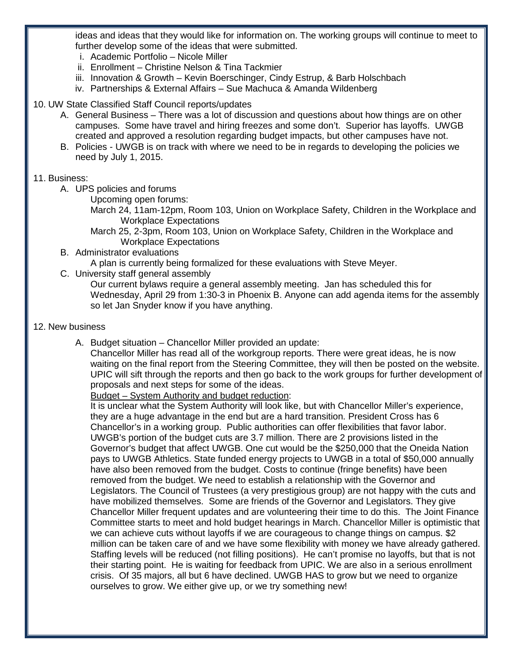ideas and ideas that they would like for information on. The working groups will continue to meet to further develop some of the ideas that were submitted.

- i. Academic Portfolio Nicole Miller
- ii. Enrollment Christine Nelson & Tina Tackmier
- iii. Innovation & Growth Kevin Boerschinger, Cindy Estrup, & Barb Holschbach
- iv. Partnerships & External Affairs Sue Machuca & Amanda Wildenberg
- 10. UW State Classified Staff Council reports/updates
	- A. General Business There was a lot of discussion and questions about how things are on other campuses. Some have travel and hiring freezes and some don't. Superior has layoffs. UWGB created and approved a resolution regarding budget impacts, but other campuses have not.
	- B. Policies UWGB is on track with where we need to be in regards to developing the policies we need by July 1, 2015.

### 11. Business:

- A. UPS policies and forums
	- Upcoming open forums:
		- March 24, 11am-12pm, Room 103, Union on Workplace Safety, Children in the Workplace and Workplace Expectations
		- March 25, 2-3pm, Room 103, Union on Workplace Safety, Children in the Workplace and Workplace Expectations
- B. Administrator evaluations

A plan is currently being formalized for these evaluations with Steve Meyer.

- C. University staff general assembly
	- Our current bylaws require a general assembly meeting. Jan has scheduled this for Wednesday, April 29 from 1:30-3 in Phoenix B. Anyone can add agenda items for the assembly so let Jan Snyder know if you have anything.

#### 12. New business

A. Budget situation – Chancellor Miller provided an update:

Chancellor Miller has read all of the workgroup reports. There were great ideas, he is now waiting on the final report from the Steering Committee, they will then be posted on the website. UPIC will sift through the reports and then go back to the work groups for further development of proposals and next steps for some of the ideas.

Budget – System Authority and budget reduction:

It is unclear what the System Authority will look like, but with Chancellor Miller's experience, they are a huge advantage in the end but are a hard transition. President Cross has 6 Chancellor's in a working group. Public authorities can offer flexibilities that favor labor. UWGB's portion of the budget cuts are 3.7 million. There are 2 provisions listed in the Governor's budget that affect UWGB. One cut would be the \$250,000 that the Oneida Nation pays to UWGB Athletics. State funded energy projects to UWGB in a total of \$50,000 annually have also been removed from the budget. Costs to continue (fringe benefits) have been removed from the budget. We need to establish a relationship with the Governor and Legislators. The Council of Trustees (a very prestigious group) are not happy with the cuts and have mobilized themselves. Some are friends of the Governor and Legislators. They give Chancellor Miller frequent updates and are volunteering their time to do this. The Joint Finance Committee starts to meet and hold budget hearings in March. Chancellor Miller is optimistic that we can achieve cuts without layoffs if we are courageous to change things on campus. \$2 million can be taken care of and we have some flexibility with money we have already gathered. Staffing levels will be reduced (not filling positions). He can't promise no layoffs, but that is not their starting point. He is waiting for feedback from UPIC. We are also in a serious enrollment crisis. Of 35 majors, all but 6 have declined. UWGB HAS to grow but we need to organize ourselves to grow. We either give up, or we try something new!